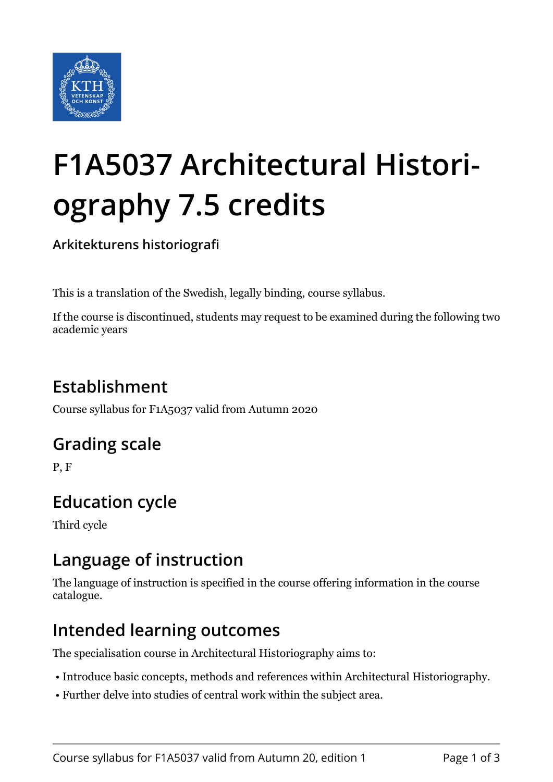

# **F1A5037 Architectural Historiography 7.5 credits**

**Arkitekturens historiografi**

This is a translation of the Swedish, legally binding, course syllabus.

If the course is discontinued, students may request to be examined during the following two academic years

# **Establishment**

Course syllabus for F1A5037 valid from Autumn 2020

## **Grading scale**

P, F

# **Education cycle**

Third cycle

## **Language of instruction**

The language of instruction is specified in the course offering information in the course catalogue.

## **Intended learning outcomes**

The specialisation course in Architectural Historiography aims to:

- Introduce basic concepts, methods and references within Architectural Historiography.
- Further delve into studies of central work within the subject area.